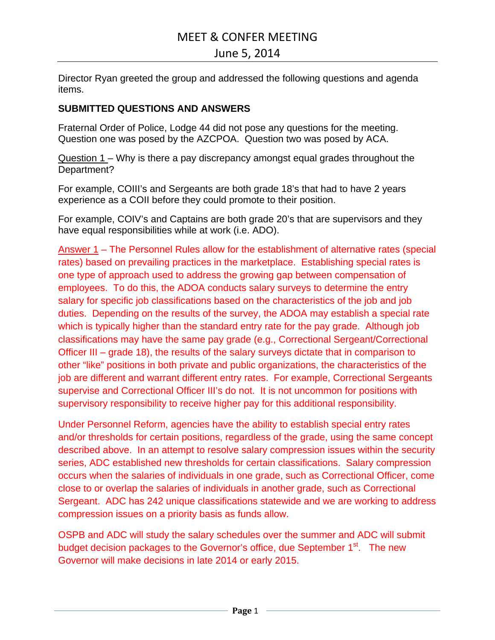# MEET & CONFER MEETING

# June 5, 2014

Director Ryan greeted the group and addressed the following questions and agenda items.

# **SUBMITTED QUESTIONS AND ANSWERS**

Fraternal Order of Police, Lodge 44 did not pose any questions for the meeting. Question one was posed by the AZCPOA. Question two was posed by ACA.

Question 1 – Why is there a pay discrepancy amongst equal grades throughout the Department?

For example, COIII's and Sergeants are both grade 18's that had to have 2 years experience as a COII before they could promote to their position.

For example, COIV's and Captains are both grade 20's that are supervisors and they have equal responsibilities while at work (i.e. ADO).

Answer 1 – The Personnel Rules allow for the establishment of alternative rates (special rates) based on prevailing practices in the marketplace. Establishing special rates is one type of approach used to address the growing gap between compensation of employees. To do this, the ADOA conducts salary surveys to determine the entry salary for specific job classifications based on the characteristics of the job and job duties. Depending on the results of the survey, the ADOA may establish a special rate which is typically higher than the standard entry rate for the pay grade. Although job classifications may have the same pay grade (e.g., Correctional Sergeant/Correctional Officer III – grade 18), the results of the salary surveys dictate that in comparison to other "like" positions in both private and public organizations, the characteristics of the job are different and warrant different entry rates. For example, Correctional Sergeants supervise and Correctional Officer III's do not. It is not uncommon for positions with supervisory responsibility to receive higher pay for this additional responsibility.

Under Personnel Reform, agencies have the ability to establish special entry rates and/or thresholds for certain positions, regardless of the grade, using the same concept described above. In an attempt to resolve salary compression issues within the security series, ADC established new thresholds for certain classifications. Salary compression occurs when the salaries of individuals in one grade, such as Correctional Officer, come close to or overlap the salaries of individuals in another grade, such as Correctional Sergeant. ADC has 242 unique classifications statewide and we are working to address compression issues on a priority basis as funds allow.

OSPB and ADC will study the salary schedules over the summer and ADC will submit budget decision packages to the Governor's office, due September 1<sup>st</sup>. The new Governor will make decisions in late 2014 or early 2015.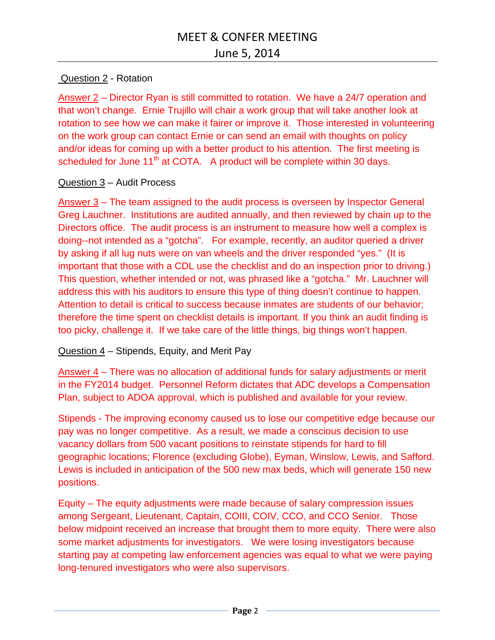# Question 2 - Rotation

Answer 2 – Director Ryan is still committed to rotation. We have a 24/7 operation and that won't change. Ernie Trujillo will chair a work group that will take another look at rotation to see how we can make it fairer or improve it. Those interested in volunteering on the work group can contact Ernie or can send an email with thoughts on policy and/or ideas for coming up with a better product to his attention. The first meeting is scheduled for June  $11<sup>th</sup>$  at COTA. A product will be complete within 30 days.

# Question 3 – Audit Process

Answer 3 – The team assigned to the audit process is overseen by Inspector General Greg Lauchner. Institutions are audited annually, and then reviewed by chain up to the Directors office. The audit process is an instrument to measure how well a complex is doing--not intended as a "gotcha". For example, recently, an auditor queried a driver by asking if all lug nuts were on van wheels and the driver responded "yes." (It is important that those with a CDL use the checklist and do an inspection prior to driving.) This question, whether intended or not, was phrased like a "gotcha." Mr. Lauchner will address this with his auditors to ensure this type of thing doesn't continue to happen. Attention to detail is critical to success because inmates are students of our behavior; therefore the time spent on checklist details is important. If you think an audit finding is too picky, challenge it. If we take care of the little things, big things won't happen.

# Question 4 – Stipends, Equity, and Merit Pay

Answer 4 – There was no allocation of additional funds for salary adjustments or merit in the FY2014 budget. Personnel Reform dictates that ADC develops a Compensation Plan, subject to ADOA approval, which is published and available for your review.

Stipends - The improving economy caused us to lose our competitive edge because our pay was no longer competitive. As a result, we made a conscious decision to use vacancy dollars from 500 vacant positions to reinstate stipends for hard to fill geographic locations; Florence (excluding Globe), Eyman, Winslow, Lewis, and Safford. Lewis is included in anticipation of the 500 new max beds, which will generate 150 new positions.

Equity – The equity adjustments were made because of salary compression issues among Sergeant, Lieutenant, Captain, COIII, COIV, CCO, and CCO Senior. Those below midpoint received an increase that brought them to more equity. There were also some market adjustments for investigators. We were losing investigators because starting pay at competing law enforcement agencies was equal to what we were paying long-tenured investigators who were also supervisors.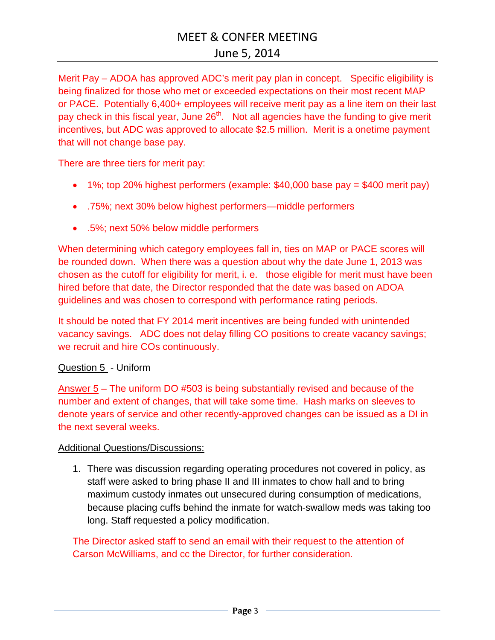Merit Pay – ADOA has approved ADC's merit pay plan in concept. Specific eligibility is being finalized for those who met or exceeded expectations on their most recent MAP or PACE. Potentially 6,400+ employees will receive merit pay as a line item on their last pay check in this fiscal year, June 26<sup>th</sup>. Not all agencies have the funding to give merit incentives, but ADC was approved to allocate \$2.5 million. Merit is a onetime payment that will not change base pay.

There are three tiers for merit pay:

- $\bullet$  1%; top 20% highest performers (example: \$40,000 base pay = \$400 merit pay)
- .75%; next 30% below highest performers—middle performers
- .5%; next 50% below middle performers

When determining which category employees fall in, ties on MAP or PACE scores will be rounded down. When there was a question about why the date June 1, 2013 was chosen as the cutoff for eligibility for merit, i. e. those eligible for merit must have been hired before that date, the Director responded that the date was based on ADOA guidelines and was chosen to correspond with performance rating periods.

It should be noted that FY 2014 merit incentives are being funded with unintended vacancy savings. ADC does not delay filling CO positions to create vacancy savings; we recruit and hire COs continuously.

#### Question 5 - Uniform

Answer 5 – The uniform DO #503 is being substantially revised and because of the number and extent of changes, that will take some time. Hash marks on sleeves to denote years of service and other recently-approved changes can be issued as a DI in the next several weeks.

#### Additional Questions/Discussions:

1. There was discussion regarding operating procedures not covered in policy, as staff were asked to bring phase II and III inmates to chow hall and to bring maximum custody inmates out unsecured during consumption of medications, because placing cuffs behind the inmate for watch-swallow meds was taking too long. Staff requested a policy modification.

The Director asked staff to send an email with their request to the attention of Carson McWilliams, and cc the Director, for further consideration.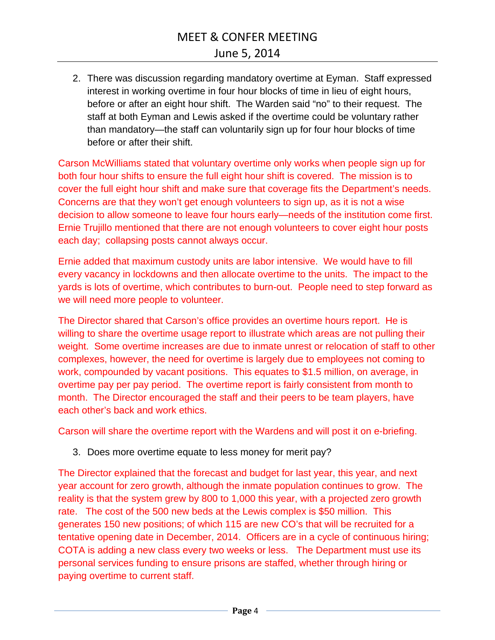# MEET & CONFER MEETING

2. There was discussion regarding mandatory overtime at Eyman. Staff expressed interest in working overtime in four hour blocks of time in lieu of eight hours, before or after an eight hour shift. The Warden said "no" to their request. The staff at both Eyman and Lewis asked if the overtime could be voluntary rather than mandatory—the staff can voluntarily sign up for four hour blocks of time before or after their shift.

Carson McWilliams stated that voluntary overtime only works when people sign up for both four hour shifts to ensure the full eight hour shift is covered. The mission is to cover the full eight hour shift and make sure that coverage fits the Department's needs. Concerns are that they won't get enough volunteers to sign up, as it is not a wise decision to allow someone to leave four hours early—needs of the institution come first. Ernie Trujillo mentioned that there are not enough volunteers to cover eight hour posts each day; collapsing posts cannot always occur.

Ernie added that maximum custody units are labor intensive. We would have to fill every vacancy in lockdowns and then allocate overtime to the units. The impact to the yards is lots of overtime, which contributes to burn-out. People need to step forward as we will need more people to volunteer.

The Director shared that Carson's office provides an overtime hours report. He is willing to share the overtime usage report to illustrate which areas are not pulling their weight. Some overtime increases are due to inmate unrest or relocation of staff to other complexes, however, the need for overtime is largely due to employees not coming to work, compounded by vacant positions. This equates to \$1.5 million, on average, in overtime pay per pay period. The overtime report is fairly consistent from month to month. The Director encouraged the staff and their peers to be team players, have each other's back and work ethics.

Carson will share the overtime report with the Wardens and will post it on e-briefing.

# 3. Does more overtime equate to less money for merit pay?

The Director explained that the forecast and budget for last year, this year, and next year account for zero growth, although the inmate population continues to grow. The reality is that the system grew by 800 to 1,000 this year, with a projected zero growth rate. The cost of the 500 new beds at the Lewis complex is \$50 million. This generates 150 new positions; of which 115 are new CO's that will be recruited for a tentative opening date in December, 2014. Officers are in a cycle of continuous hiring; COTA is adding a new class every two weeks or less. The Department must use its personal services funding to ensure prisons are staffed, whether through hiring or paying overtime to current staff.